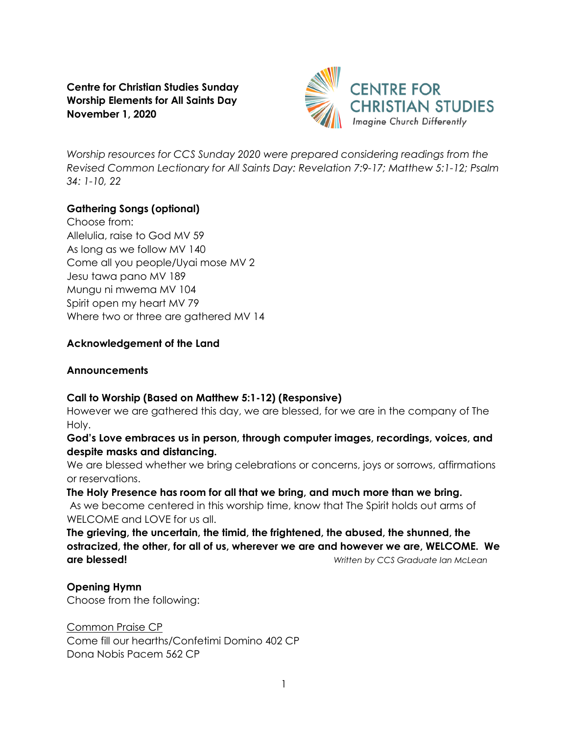**Centre for Christian Studies Sunday Worship Elements for All Saints Day November 1, 2020**



*Worship resources for CCS Sunday 2020 were prepared considering readings from the Revised Common Lectionary for All Saints Day: Revelation 7:9-17; Matthew 5:1-12; Psalm 34: 1-10, 22* 

# **Gathering Songs (optional)**

Choose from: Allelulia, raise to God MV 59 As long as we follow MV 140 Come all you people/Uyai mose MV 2 Jesu tawa pano MV 189 Mungu ni mwema MV 104 Spirit open my heart MV 79 Where two or three are gathered MV 14

#### **Acknowledgement of the Land**

#### **Announcements**

## **Call to Worship (Based on Matthew 5:1-12) (Responsive)**

However we are gathered this day, we are blessed, for we are in the company of The Holy.

**God's Love embraces us in person, through computer images, recordings, voices, and despite masks and distancing.** 

We are blessed whether we bring celebrations or concerns, joys or sorrows, affirmations or reservations.

**The Holy Presence has room for all that we bring, and much more than we bring.** As we become centered in this worship time, know that The Spirit holds out arms of WELCOME and LOVE for us all.

**The grieving, the uncertain, the timid, the frightened, the abused, the shunned, the ostracized, the other, for all of us, wherever we are and however we are, WELCOME. We are blessed!** *Written by CCS Graduate Ian McLean*

#### **Opening Hymn**

Choose from the following:

Common Praise CP Come fill our hearths/Confetimi Domino 402 CP Dona Nobis Pacem 562 CP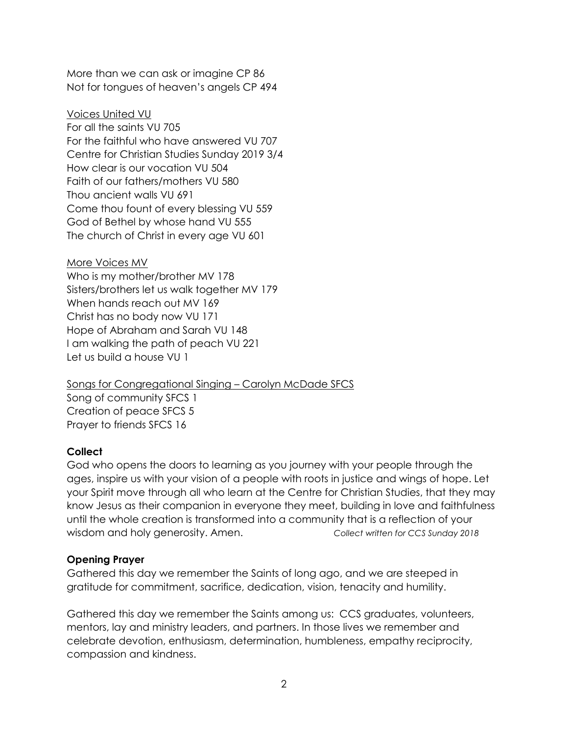More than we can ask or imagine CP 86 Not for tongues of heaven's angels CP 494

Voices United VU For all the saints VU 705 For the faithful who have answered VU 707 Centre for Christian Studies Sunday 2019 3/4 How clear is our vocation VU 504 Faith of our fathers/mothers VU 580 Thou ancient walls VU 691 Come thou fount of every blessing VU 559 God of Bethel by whose hand VU 555 The church of Christ in every age VU 601

More Voices MV Who is my mother/brother MV 178 Sisters/brothers let us walk together MV 179 When hands reach out MV 169 Christ has no body now VU 171 Hope of Abraham and Sarah VU 148 I am walking the path of peach VU 221 Let us build a house VU 1

Songs for Congregational Singing – Carolyn McDade SFCS Song of community SFCS 1 Creation of peace SFCS 5 Prayer to friends SFCS 16

# **Collect**

God who opens the doors to learning as you journey with your people through the ages, inspire us with your vision of a people with roots in justice and wings of hope. Let your Spirit move through all who learn at the Centre for Christian Studies, that they may know Jesus as their companion in everyone they meet, building in love and faithfulness until the whole creation is transformed into a community that is a reflection of your wisdom and holy generosity. Amen. *Collect written for CCS Sunday 2018*

## **Opening Prayer**

Gathered this day we remember the Saints of long ago, and we are steeped in gratitude for commitment, sacrifice, dedication, vision, tenacity and humility.

Gathered this day we remember the Saints among us: CCS graduates, volunteers, mentors, lay and ministry leaders, and partners. In those lives we remember and celebrate devotion, enthusiasm, determination, humbleness, empathy reciprocity, compassion and kindness.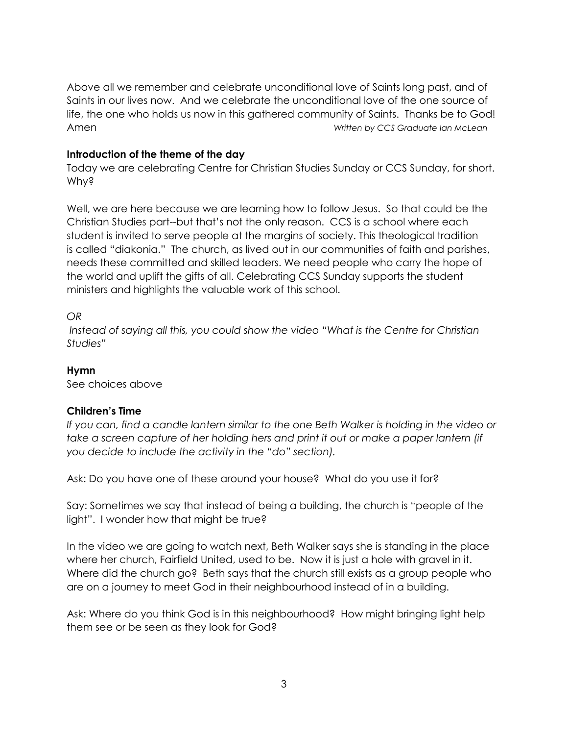Above all we remember and celebrate unconditional love of Saints long past, and of Saints in our lives now. And we celebrate the unconditional love of the one source of life, the one who holds us now in this gathered community of Saints. Thanks be to God! Amen *Written by CCS Graduate Ian McLean*

#### **Introduction of the theme of the day**

Today we are celebrating Centre for Christian Studies Sunday or CCS Sunday, for short. Why?

Well, we are here because we are learning how to follow Jesus. So that could be the Christian Studies part--but that's not the only reason. CCS is a school where each student is invited to serve people at the margins of society. This theological tradition is called "diakonia." The church, as lived out in our communities of faith and parishes, needs these committed and skilled leaders. We need people who carry the hope of the world and uplift the gifts of all. Celebrating CCS Sunday supports the student ministers and highlights the valuable work of this school.

#### *OR*

*Instead of saying all this, you could show the video "What is the Centre for Christian Studies"*

# **Hymn**

See choices above

## **Children's Time**

*If you can, find a candle lantern similar to the one Beth Walker is holding in the video or take a screen capture of her holding hers and print it out or make a paper lantern (if you decide to include the activity in the "do" section).*

Ask: Do you have one of these around your house? What do you use it for?

Say: Sometimes we say that instead of being a building, the church is "people of the light". I wonder how that might be true?

In the video we are going to watch next, Beth Walker says she is standing in the place where her church, Fairfield United, used to be. Now it is just a hole with gravel in it. Where did the church go? Beth says that the church still exists as a group people who are on a journey to meet God in their neighbourhood instead of in a building.

Ask: Where do you think God is in this neighbourhood? How might bringing light help them see or be seen as they look for God?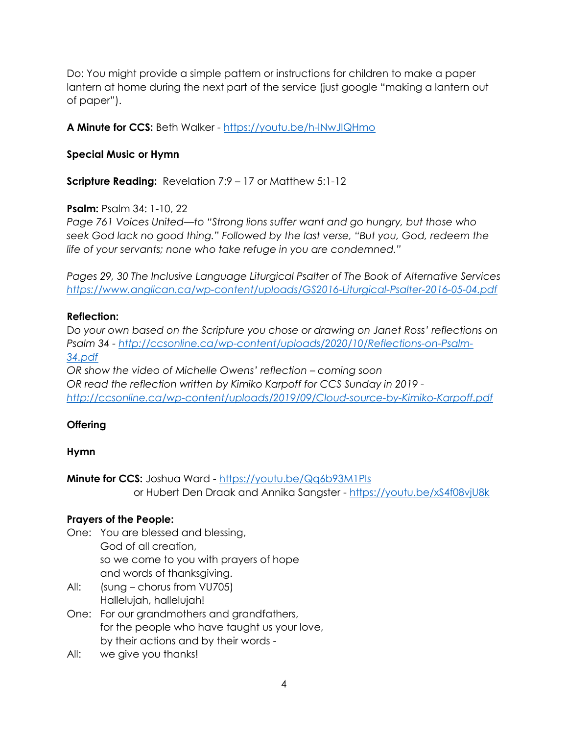Do: You might provide a simple pattern or instructions for children to make a paper lantern at home during the next part of the service (just google "making a lantern out of paper").

**A Minute for CCS:** Beth Walker - <https://youtu.be/h-lNwJIQHmo>

# **Special Music or Hymn**

**Scripture Reading:** Revelation 7:9 – 17 or Matthew 5:1-12

# **Psalm:** Psalm 34: 1-10, 22

*Page 761 Voices United—to "Strong lions suffer want and go hungry, but those who seek God lack no good thing." Followed by the last verse, "But you, God, redeem the life of your servants; none who take refuge in you are condemned."*

*Pages 29, 30 The Inclusive Language Liturgical Psalter of The Book of Alternative Services <https://www.anglican.ca/wp-content/uploads/GS2016-Liturgical-Psalter-2016-05-04.pdf>*

## **Reflection:**

D*o your own based on the Scripture you chose or drawing on Janet Ross' reflections on Psalm 34 - [http://ccsonline.ca/wp-content/uploads/2020/10/Reflections-on-Psalm-](http://ccsonline.ca/wp-content/uploads/2020/10/Reflections-on-Psalm-34.pdf)[34.pdf](http://ccsonline.ca/wp-content/uploads/2020/10/Reflections-on-Psalm-34.pdf)*

*OR show the video of Michelle Owens' reflection – coming soon OR read the reflection written by Kimiko Karpoff for CCS Sunday in 2019 <http://ccsonline.ca/wp-content/uploads/2019/09/Cloud-source-by-Kimiko-Karpoff.pdf>*

# **Offering**

## **Hymn**

**Minute for CCS:** Joshua Ward - <https://youtu.be/Qq6b93M1PIs> or Hubert Den Draak and Annika Sangster - <https://youtu.be/xS4f08vjU8k>

## **Prayers of the People:**

- One: You are blessed and blessing, God of all creation, so we come to you with prayers of hope and words of thanksgiving.
- All: (sung chorus from VU705) Hallelujah, hallelujah!
- One: For our grandmothers and grandfathers, for the people who have taught us your love, by their actions and by their words -
- All: we give you thanks!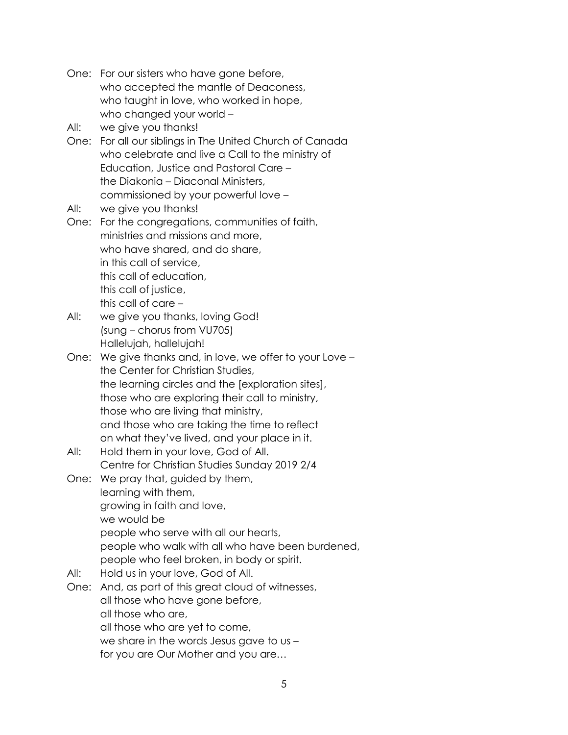- One: For our sisters who have gone before, who accepted the mantle of Deaconess, who taught in love, who worked in hope, who changed your world –
- All: we give you thanks!
- One: For all our siblings in The United Church of Canada who celebrate and live a Call to the ministry of Education, Justice and Pastoral Care – the Diakonia – Diaconal Ministers, commissioned by your powerful love –
- All: we give you thanks!
- One: For the congregations, communities of faith, ministries and missions and more, who have shared, and do share, in this call of service, this call of education, this call of justice, this call of care –
- All: we give you thanks, loving God! (sung – chorus from VU705) Hallelujah, hallelujah!
- One: We give thanks and, in love, we offer to your Love the Center for Christian Studies, the learning circles and the [exploration sites], those who are exploring their call to ministry, those who are living that ministry, and those who are taking the time to reflect on what they've lived, and your place in it.
- All: Hold them in your love, God of All. Centre for Christian Studies Sunday 2019 2/4
- One: We pray that, guided by them, learning with them, growing in faith and love, we would be people who serve with all our hearts, people who walk with all who have been burdened, people who feel broken, in body or spirit.
- All: Hold us in your love, God of All.
- One: And, as part of this great cloud of witnesses, all those who have gone before, all those who are, all those who are yet to come, we share in the words Jesus gave to us – for you are Our Mother and you are…